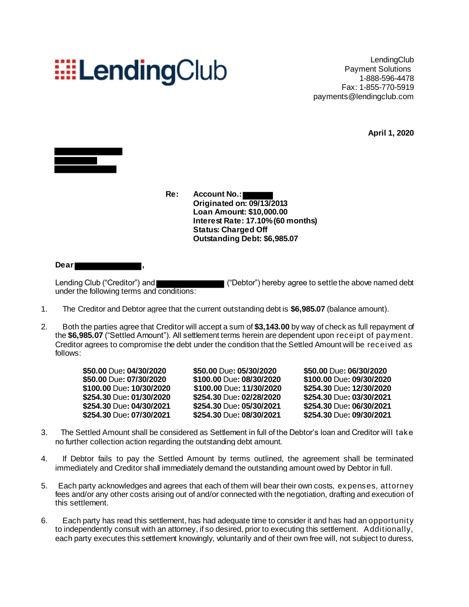## **EELendingClub**

**LendingClub** Payment Solutions 1-888-596-4478 Fax: 1-855-770-5919 payments@lendingclub.com

**April 1, 2020**



**Re: Account No.: Originated on: 09/13/2013 Loan Amount: \$10,000.00 Interest Rate: 17.10%(60 months) Status: Charged Off Outstanding Debt: \$6,985.07**

**Dear ,**

Lending Club ("Creditor") and  $\blacksquare$  ("Debtor") hereby agree to settle the above named debt under the following terms and conditions:

- 1. The Creditor and Debtor agree that the current outstanding debt is **\$6,985.07** (balance amount).
- 2. Both the parties agree that Creditor will accept a sum of **\$3,143.00** by way of check as full repayment of the **\$6,985.07** ("Settled Amount"). All settlement terms herein are dependent upon receipt of payment. Creditor agrees to compromise the debt under the condition that the Settled Amount will be received as follows:

| \$50.00 Due: 04/30/2020  | \$50.00 Due: 05/30/2020  | \$50.00 Due: 06/30/2020  |
|--------------------------|--------------------------|--------------------------|
| \$50.00 Due: 07/30/2020  | \$100.00 Due: 08/30/2020 | \$100.00 Due: 09/30/2020 |
| \$100.00 Due: 10/30/2020 | \$100.00 Due: 11/30/2020 | \$254.30 Due: 12/30/2020 |
| \$254.30 Due: 01/30/2020 | \$254.30 Due: 02/28/2020 | \$254.30 Due: 03/30/2021 |
| \$254.30 Due: 04/30/2021 | \$254.30 Due: 05/30/2021 | \$254.30 Due: 06/30/2021 |
| \$254.30 Due: 07/30/2021 | \$254.30 Due: 08/30/2021 | \$254.30 Due: 09/30/2021 |

- 3. The Settled Amount shall be considered as Settlement in full of the Debtor's loan and Creditor will take no further collection action regarding the outstanding debt amount.
- 4. If Debtor fails to pay the Settled Amount by terms outlined, the agreement shall be terminated immediately and Creditor shall immediately demand the outstanding amount owed by Debtor in full.
- 5. Each party acknowledges and agrees that each of them will bear their own costs, expenses, attorney fees and/or any other costs arising out of and/or connected with the negotiation, drafting and execution of this settlement.
- 6. Each party has read this settlement, has had adequate time to consider it and has had an opportunity to independently consult with an attorney, if so desired, prior to executing this settlement. Additionally, each party executes this settlement knowingly, voluntarily and of their own free will, not subject to duress,